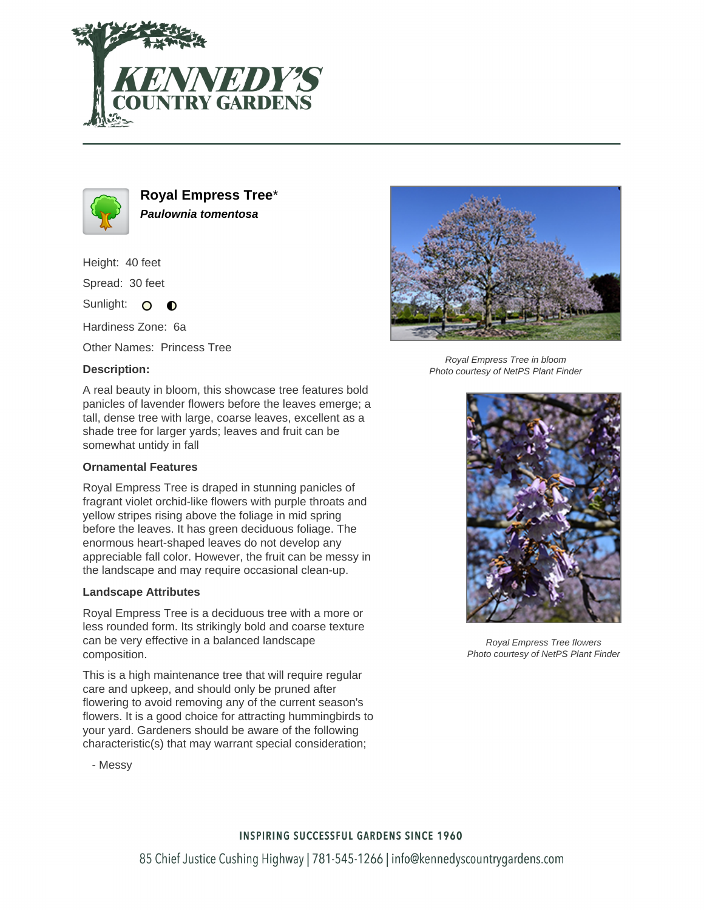



**Royal Empress Tree**\* **Paulownia tomentosa**

Height: 40 feet

Spread: 30 feet

Sunlight: O  $\bullet$ 

Hardiness Zone: 6a

Other Names: Princess Tree

## **Description:**



## **Ornamental Features**

Royal Empress Tree is draped in stunning panicles of fragrant violet orchid-like flowers with purple throats and yellow stripes rising above the foliage in mid spring before the leaves. It has green deciduous foliage. The enormous heart-shaped leaves do not develop any appreciable fall color. However, the fruit can be messy in the landscape and may require occasional clean-up.

## **Landscape Attributes**

Royal Empress Tree is a deciduous tree with a more or less rounded form. Its strikingly bold and coarse texture can be very effective in a balanced landscape composition.

This is a high maintenance tree that will require regular care and upkeep, and should only be pruned after flowering to avoid removing any of the current season's flowers. It is a good choice for attracting hummingbirds to your yard. Gardeners should be aware of the following characteristic(s) that may warrant special consideration;



Royal Empress Tree in bloom Photo courtesy of NetPS Plant Finder



Royal Empress Tree flowers Photo courtesy of NetPS Plant Finder

- Messy